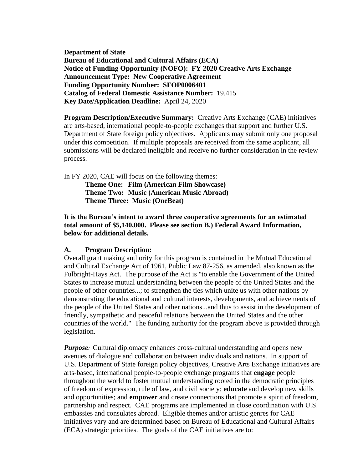**Department of State Bureau of Educational and Cultural Affairs (ECA) Notice of Funding Opportunity (NOFO): FY 2020 Creative Arts Exchange Announcement Type: New Cooperative Agreement Funding Opportunity Number:****SFOP0006401 Catalog of Federal Domestic Assistance Number:** 19.415 **Key Date/Application Deadline:** April 24, 2020

**Program Description/Executive Summary:** Creative Arts Exchange (CAE) initiatives are arts-based, international people-to-people exchanges that support and further U.S. Department of State foreign policy objectives. Applicants may submit only one proposal under this competition. If multiple proposals are received from the same applicant, all submissions will be declared ineligible and receive no further consideration in the review process.

In FY 2020, CAE will focus on the following themes: **Theme One: Film (American Film Showcase) Theme Two: Music (American Music Abroad) Theme Three: Music (OneBeat)**

**It is the Bureau's intent to award three cooperative agreements for an estimated total amount of \$5,140,000. Please see section B.) Federal Award Information, below for additional details.** 

#### **A. Program Description:**

Overall grant making authority for this program is contained in the Mutual Educational and Cultural Exchange Act of 1961, Public Law 87-256, as amended, also known as the Fulbright-Hays Act. The purpose of the Act is "to enable the Government of the United States to increase mutual understanding between the people of the United States and the people of other countries...; to strengthen the ties which unite us with other nations by demonstrating the educational and cultural interests, developments, and achievements of the people of the United States and other nations...and thus to assist in the development of friendly, sympathetic and peaceful relations between the United States and the other countries of the world." The funding authority for the program above is provided through legislation.

*Purpose:* Cultural diplomacy enhances cross-cultural understanding and opens new avenues of dialogue and collaboration between individuals and nations. In support of U.S. Department of State foreign policy objectives, Creative Arts Exchange initiatives are arts-based, international people-to-people exchange programs that **engage** people throughout the world to foster mutual understanding rooted in the democratic principles of freedom of expression, rule of law, and civil society; **educate** and develop new skills and opportunities; and **empower** and create connections that promote a spirit of freedom, partnership and respect. CAE programs are implemented in close coordination with U.S. embassies and consulates abroad. Eligible themes and/or artistic genres for CAE initiatives vary and are determined based on Bureau of Educational and Cultural Affairs (ECA) strategic priorities. The goals of the CAE initiatives are to: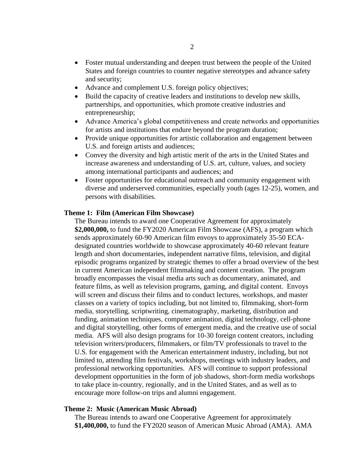- Foster mutual understanding and deepen trust between the people of the United States and foreign countries to counter negative stereotypes and advance safety and security;
- Advance and complement U.S. foreign policy objectives;
- Build the capacity of creative leaders and institutions to develop new skills, partnerships, and opportunities, which promote creative industries and entrepreneurship;
- Advance America's global competitiveness and create networks and opportunities for artists and institutions that endure beyond the program duration;
- Provide unique opportunities for artistic collaboration and engagement between U.S. and foreign artists and audiences;
- Convey the diversity and high artistic merit of the arts in the United States and increase awareness and understanding of U.S. art, culture, values, and society among international participants and audiences; and
- Foster opportunities for educational outreach and community engagement with diverse and underserved communities, especially youth (ages 12-25), women, and persons with disabilities.

#### **Theme 1: Film (American Film Showcase)**

The Bureau intends to award one Cooperative Agreement for approximately **\$2,000,000,** to fund the FY2020 American Film Showcase (AFS), a program which sends approximately 60-90 American film envoys to approximately 35-50 ECAdesignated countries worldwide to showcase approximately 40-60 relevant feature length and short documentaries, independent narrative films, television, and digital episodic programs organized by strategic themes to offer a broad overview of the best in current American independent filmmaking and content creation. The program broadly encompasses the visual media arts such as documentary, animated, and feature films, as well as television programs, gaming, and digital content. Envoys will screen and discuss their films and to conduct lectures, workshops, and master classes on a variety of topics including, but not limited to, filmmaking, short-form media, storytelling, scriptwriting, cinematography, marketing, distribution and funding, animation techniques, computer animation, digital technology, cell-phone and digital storytelling, other forms of emergent media, and the creative use of social media. AFS will also design programs for 10-30 foreign content creators, including television writers/producers, filmmakers, or film/TV professionals to travel to the U.S. for engagement with the American entertainment industry, including, but not limited to, attending film festivals, workshops, meetings with industry leaders, and professional networking opportunities. AFS will continue to support professional development opportunities in the form of job shadows, short-form media workshops to take place in-country, regionally, and in the United States, and as well as to encourage more follow-on trips and alumni engagement.

#### **Theme 2: Music (American Music Abroad)**

The Bureau intends to award one Cooperative Agreement for approximately **\$1,400,000,** to fund the FY2020 season of American Music Abroad (AMA). AMA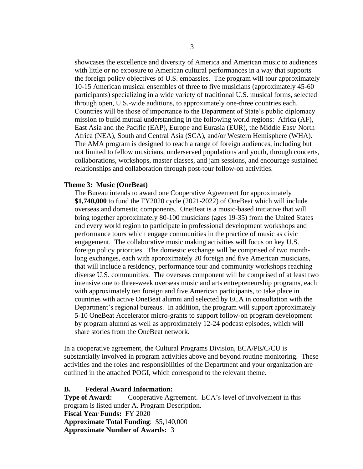showcases the excellence and diversity of America and American music to audiences with little or no exposure to American cultural performances in a way that supports the foreign policy objectives of U.S. embassies. The program will tour approximately 10-15 American musical ensembles of three to five musicians (approximately 45-60 participants) specializing in a wide variety of traditional U.S. musical forms, selected through open, U.S.-wide auditions, to approximately one-three countries each. Countries will be those of importance to the Department of State's public diplomacy mission to build mutual understanding in the following world regions: Africa (AF), East Asia and the Pacific (EAP), Europe and Eurasia (EUR), the Middle East/ North Africa (NEA), South and Central Asia (SCA), and/or Western Hemisphere (WHA). The AMA program is designed to reach a range of foreign audiences, including but not limited to fellow musicians, underserved populations and youth, through concerts, collaborations, workshops, master classes, and jam sessions, and encourage sustained relationships and collaboration through post-tour follow-on activities.

#### **Theme 3: Music (OneBeat)**

The Bureau intends to award one Cooperative Agreement for approximately **\$1,740,000** to fund the FY2020 cycle (2021-2022) of OneBeat which will include overseas and domestic components. OneBeat is a music-based initiative that will bring together approximately 80-100 musicians (ages 19-35) from the United States and every world region to participate in professional development workshops and performance tours which engage communities in the practice of music as civic engagement. The collaborative music making activities will focus on key U.S. foreign policy priorities. The domestic exchange will be comprised of two monthlong exchanges, each with approximately 20 foreign and five American musicians, that will include a residency, performance tour and community workshops reaching diverse U.S. communities. The overseas component will be comprised of at least two intensive one to three-week overseas music and arts entrepreneurship programs, each with approximately ten foreign and five American participants, to take place in countries with active OneBeat alumni and selected by ECA in consultation with the Department's regional bureaus. In addition, the program will support approximately 5-10 OneBeat Accelerator micro-grants to support follow-on program development by program alumni as well as approximately 12-24 podcast episodes, which will share stories from the OneBeat network.

In a cooperative agreement, the Cultural Programs Division, ECA/PE/C/CU is substantially involved in program activities above and beyond routine monitoring.These activities and the roles and responsibilities of the Department and your organization are outlined in the attached POGI, which correspond to the relevant theme.

#### **B. Federal Award Information:**

**Type of Award:** Cooperative Agreement. ECA's level of involvement in this program is listed under A. Program Description. **Fiscal Year Funds:**FY 2020 **Approximate Total Funding**: \$5,140,000 **Approximate Number of Awards:** 3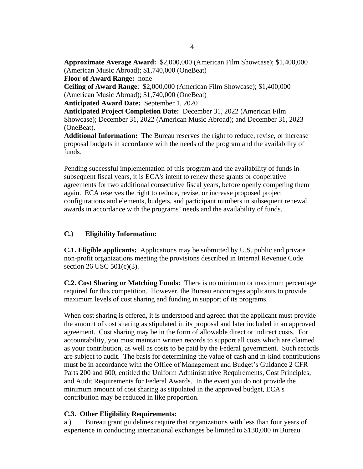**Approximate Average Award:** \$2,000,000 (American Film Showcase); \$1,400,000 (American Music Abroad); \$1,740,000 (OneBeat) **Floor of Award Range:** none **Ceiling of Award Range**: \$2,000,000 (American Film Showcase); \$1,400,000 (American Music Abroad); \$1,740,000 (OneBeat) **Anticipated Award Date:** September 1, 2020 **Anticipated Project Completion Date:** December 31, 2022 (American Film Showcase); December 31, 2022 (American Music Abroad); and December 31, 2023 (OneBeat). **Additional Information:** The Bureau reserves the right to reduce, revise, or increase proposal budgets in accordance with the needs of the program and the availability of funds.

Pending successful implementation of this program and the availability of funds in subsequent fiscal years, it is ECA's intent to renew these grants or cooperative agreements for two additional consecutive fiscal years, before openly competing them again. ECA reserves the right to reduce, revise, or increase proposed project configurations and elements, budgets, and participant numbers in subsequent renewal awards in accordance with the programs' needs and the availability of funds.

# **C.) Eligibility Information:**

**C.1. Eligible applicants:** Applications may be submitted by U.S. public and private non-profit organizations meeting the provisions described in Internal Revenue Code section 26 USC 501(c)(3).

**C.2. Cost Sharing or Matching Funds:** There is no minimum or maximum percentage required for this competition. However, the Bureau encourages applicants to provide maximum levels of cost sharing and funding in support of its programs.

When cost sharing is offered, it is understood and agreed that the applicant must provide the amount of cost sharing as stipulated in its proposal and later included in an approved agreement. Cost sharing may be in the form of allowable direct or indirect costs. For accountability, you must maintain written records to support all costs which are claimed as your contribution, as well as costs to be paid by the Federal government. Such records are subject to audit. The basis for determining the value of cash and in-kind contributions must be in accordance with the Office of Management and Budget's Guidance 2 CFR Parts 200 and 600, entitled the Uniform Administrative Requirements, Cost Principles, and Audit Requirements for Federal Awards. In the event you do not provide the minimum amount of cost sharing as stipulated in the approved budget, ECA's contribution may be reduced in like proportion.

### **C.3. Other Eligibility Requirements:**

a.) Bureau grant guidelines require that organizations with less than four years of experience in conducting international exchanges be limited to \$130,000 in Bureau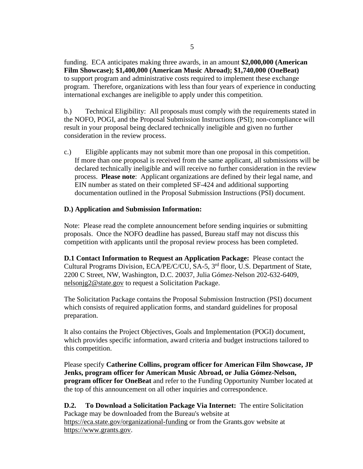funding. ECA anticipates making three awards, in an amount **\$2,000,000 (American Film Showcase); \$1,400,000 (American Music Abroad); \$1,740,000 (OneBeat)** to support program and administrative costs required to implement these exchange program. Therefore, organizations with less than four years of experience in conducting international exchanges are ineligible to apply under this competition.

b.) Technical Eligibility: All proposals must comply with the requirements stated in the NOFO, POGI, and the Proposal Submission Instructions (PSI); non-compliance will result in your proposal being declared technically ineligible and given no further consideration in the review process.

c.) Eligible applicants may not submit more than one proposal in this competition. If more than one proposal is received from the same applicant, all submissions will be declared technically ineligible and will receive no further consideration in the review process. **Please note**: Applicant organizations are defined by their legal name, and EIN number as stated on their completed SF-424 and additional supporting documentation outlined in the Proposal Submission Instructions (PSI) document.

### **D.) Application and Submission Information:**

Note: Please read the complete announcement before sending inquiries or submitting proposals.Once the NOFO deadline has passed, Bureau staff may not discuss this competition with applicants until the proposal review process has been completed.

**D.1 Contact Information to Request an Application Package:** Please contact the Cultural Programs Division, ECA/PE/C/CU, SA-5, 3<sup>rd</sup> floor, U.S. Department of State, 2200 C Street, NW, Washington, D.C. 20037, Julia Gómez-Nelson 202-632-6409, [nelsonjg2@state.gov](mailto:nelsonjg2@state.gov) to request a Solicitation Package.

The Solicitation Package contains the Proposal Submission Instruction (PSI) document which consists of required application forms, and standard guidelines for proposal preparation.

It also contains the Project Objectives, Goals and Implementation (POGI) document, which provides specific information, award criteria and budget instructions tailored to this competition.

Please specify **Catherine Collins, program officer for American Film Showcase, JP Jenks, program officer for American Music Abroad, or Julia Gómez-Nelson, program officer for OneBeat** and refer to the Funding Opportunity Number located at the top of this announcement on all other inquiries and correspondence.

**D.2. To Download a Solicitation Package Via Internet:** The entire Solicitation Package may be downloaded from the Bureau's website at <https://eca.state.gov/organizational-funding> or from the Grants.gov website at [https://www.grants.gov.](https://www.grants.gov/)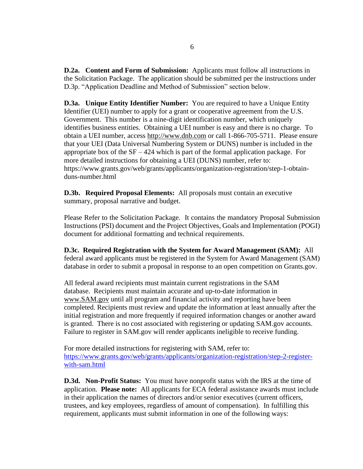**D.2a. Content and Form of Submission:** Applicants must follow all instructions in the Solicitation Package. The application should be submitted per the instructions under D.3p. "Application Deadline and Method of Submission" section below.

**D.3a. Unique Entity Identifier Number:** You are required to have a Unique Entity Identifier (UEI) number to apply for a grant or cooperative agreement from the U.S. Government. This number is a nine-digit identification number, which uniquely identifies business entities. Obtaining a UEI number is easy and there is no charge. To obtain a UEI number, access [http://www.dnb.com](http://www.dnb.com/) or call 1-866-705-5711. Please ensure that your UEI (Data Universal Numbering System or DUNS) number is included in the appropriate box of the  $SF - 424$  which is part of the formal application package. For more detailed instructions for obtaining a UEI (DUNS) number, refer to: [https://www.grants.gov/web/grants/applicants/organization-registration/step-1-obtain](https://www.grants.gov/web/grants/applicants/organization-registration/step-1-obtain-duns-number.html)[duns-number.html](https://www.grants.gov/web/grants/applicants/organization-registration/step-1-obtain-duns-number.html)

**D.3b. Required Proposal Elements:** All proposals must contain an executive summary, proposal narrative and budget.

Please Refer to the Solicitation Package. It contains the mandatory Proposal Submission Instructions (PSI) document and the Project Objectives, Goals and Implementation (POGI) document for additional formatting and technical requirements.

**D.3c. Required Registration with the System for Award Management (SAM):** All federal award applicants must be registered in the System for Award Management (SAM) database in order to submit a proposal in response to an open competition on Grants.gov.

All federal award recipients must maintain current registrations in the SAM database. Recipients must maintain accurate and up-to-date information in [www.SAM.gov](http://www.sam.gov/) until all program and financial activity and reporting have been completed. Recipients must review and update the information at least annually after the initial registration and more frequently if required information changes or another award is granted. There is no cost associated with registering or updating SAM.gov accounts. Failure to register in SAM.gov will render applicants ineligible to receive funding.

For more detailed instructions for registering with SAM, refer to: [https://www.grants.gov/web/grants/applicants/organization-registration/step-2-register](https://www.grants.gov/web/grants/applicants/organization-registration/step-2-register-with-sam.html)[with-sam.html](https://www.grants.gov/web/grants/applicants/organization-registration/step-2-register-with-sam.html)

**D.3d. Non-Profit Status:** You must have nonprofit status with the IRS at the time of application. **Please note:** All applicants for ECA federal assistance awards must include in their application the names of directors and/or senior executives (current officers, trustees, and key employees, regardless of amount of compensation). In fulfilling this requirement, applicants must submit information in one of the following ways: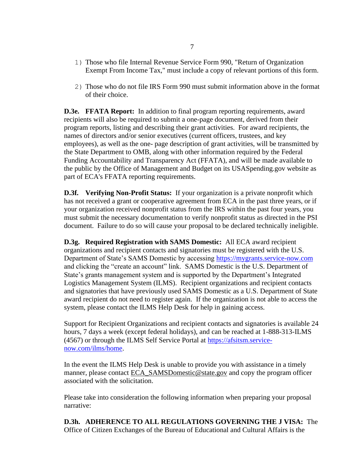- 1) Those who file Internal Revenue Service Form 990, "Return of Organization Exempt From Income Tax," must include a copy of relevant portions of this form.
- 2) Those who do not file IRS Form 990 must submit information above in the format of their choice.

**D.3e. FFATA Report:** In addition to final program reporting requirements, award recipients will also be required to submit a one-page document, derived from their program reports, listing and describing their grant activities. For award recipients, the names of directors and/or senior executives (current officers, trustees, and key employees), as well as the one- page description of grant activities, will be transmitted by the State Department to OMB, along with other information required by the Federal Funding Accountability and Transparency Act (FFATA), and will be made available to the public by the Office of Management and Budget on its USASpending.gov website as part of ECA's FFATA reporting requirements.

**D.3f. Verifying Non-Profit Status:** If your organization is a private nonprofit which has not received a grant or cooperative agreement from ECA in the past three years, or if your organization received nonprofit status from the IRS within the past four years, you must submit the necessary documentation to verify nonprofit status as directed in the PSI document. Failure to do so will cause your proposal to be declared technically ineligible.

**D.3g. Required Registration with SAMS Domestic:** All ECA award recipient organizations and recipient contacts and signatories must be registered with the U.S. Department of State's SAMS Domestic by accessing [https://mygrants.service-now.com](https://mygrants.service-now.com/) and clicking the "create an account" link. SAMS Domestic is the U.S. Department of State's grants management system and is supported by the Department's Integrated Logistics Management System (ILMS). Recipient organizations and recipient contacts and signatories that have previously used SAMS Domestic as a U.S. Department of State award recipient do not need to register again. If the organization is not able to access the system, please contact the ILMS Help Desk for help in gaining access.

Support for Recipient Organizations and recipient contacts and signatories is available 24 hours, 7 days a week (except federal holidays), and can be reached at 1-888-313-ILMS (4567) or through the ILMS Self Service Portal at [https://afsitsm.service](https://afsitsm.service-now.com/ilms/home)[now.com/ilms/home.](https://afsitsm.service-now.com/ilms/home)

In the event the ILMS Help Desk is unable to provide you with assistance in a timely manner, please contact [ECA\\_SAMSDomestic@state.gov](mailto:ECA_SAMSDomestic@state.gov) and copy the program officer associated with the solicitation.

Please take into consideration the following information when preparing your proposal narrative:

**D.3h. ADHERENCE TO ALL REGULATIONS GOVERNING THE J VISA:** The Office of Citizen Exchanges of the Bureau of Educational and Cultural Affairs is the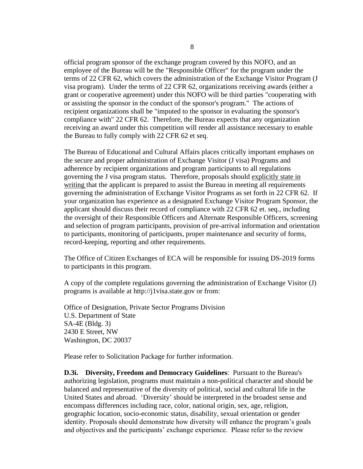official program sponsor of the exchange program covered by this NOFO, and an employee of the Bureau will be the "Responsible Officer" for the program under the terms of 22 CFR 62, which covers the administration of the Exchange Visitor Program (J visa program). Under the terms of 22 CFR 62, organizations receiving awards (either a grant or cooperative agreement) under this NOFO will be third parties "cooperating with or assisting the sponsor in the conduct of the sponsor's program." The actions of recipient organizations shall be "imputed to the sponsor in evaluating the sponsor's compliance with" 22 CFR 62. Therefore, the Bureau expects that any organization receiving an award under this competition will render all assistance necessary to enable the Bureau to fully comply with 22 CFR 62 et seq.

The Bureau of Educational and Cultural Affairs places critically important emphases on the secure and proper administration of Exchange Visitor (J visa) Programs and adherence by recipient organizations and program participants to all regulations governing the J visa program status. Therefore, proposals should explicitly state in writing that the applicant is prepared to assist the Bureau in meeting all requirements governing the administration of Exchange Visitor Programs as set forth in 22 CFR 62. If your organization has experience as a designated Exchange Visitor Program Sponsor, the applicant should discuss their record of compliance with 22 CFR 62 et. seq., including the oversight of their Responsible Officers and Alternate Responsible Officers, screening and selection of program participants, provision of pre-arrival information and orientation to participants, monitoring of participants, proper maintenance and security of forms, record-keeping, reporting and other requirements.

The Office of Citizen Exchanges of ECA will be responsible for issuing DS-2019 forms to participants in this program.

A copy of the complete regulations governing the administration of Exchange Visitor (J) programs is available at http://j1visa.state.gov or from:

Office of Designation, Private Sector Programs Division U.S. Department of State SA-4E (Bldg. 3) 2430 E Street, NW Washington, DC 20037

Please refer to Solicitation Package for further information.

**D.3i. Diversity, Freedom and Democracy Guidelines**: Pursuant to the Bureau's authorizing legislation, programs must maintain a non-political character and should be balanced and representative of the diversity of political, social and cultural life in the United States and abroad. 'Diversity' should be interpreted in the broadest sense and encompass differences including race, color, national origin, sex, age, religion, geographic location, socio-economic status, disability, sexual orientation or gender identity. Proposals should demonstrate how diversity will enhance the program's goals and objectives and the participants' exchange experience. Please refer to the review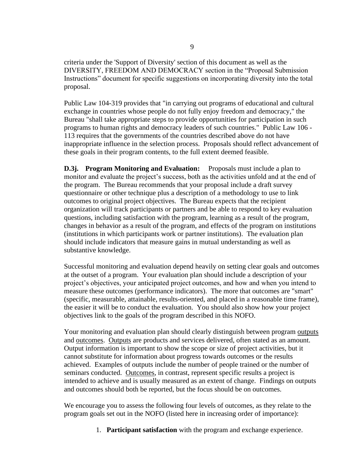criteria under the 'Support of Diversity' section of this document as well as the DIVERSITY, FREEDOM AND DEMOCRACY section in the "Proposal Submission Instructions" document for specific suggestions on incorporating diversity into the total proposal.

Public Law 104-319 provides that "in carrying out programs of educational and cultural exchange in countries whose people do not fully enjoy freedom and democracy," the Bureau "shall take appropriate steps to provide opportunities for participation in such programs to human rights and democracy leaders of such countries." Public Law 106 - 113 requires that the governments of the countries described above do not have inappropriate influence in the selection process. Proposals should reflect advancement of these goals in their program contents, to the full extent deemed feasible.

**D.3j. Program Monitoring and Evaluation:** Proposals must include a plan to monitor and evaluate the project's success, both as the activities unfold and at the end of the program. The Bureau recommends that your proposal include a draft survey questionnaire or other technique plus a description of a methodology to use to link outcomes to original project objectives. The Bureau expects that the recipient organization will track participants or partners and be able to respond to key evaluation questions, including satisfaction with the program, learning as a result of the program, changes in behavior as a result of the program, and effects of the program on institutions (institutions in which participants work or partner institutions). The evaluation plan should include indicators that measure gains in mutual understanding as well as substantive knowledge.

Successful monitoring and evaluation depend heavily on setting clear goals and outcomes at the outset of a program. Your evaluation plan should include a description of your project's objectives, your anticipated project outcomes, and how and when you intend to measure these outcomes (performance indicators). The more that outcomes are "smart" (specific, measurable, attainable, results-oriented, and placed in a reasonable time frame), the easier it will be to conduct the evaluation. You should also show how your project objectives link to the goals of the program described in this NOFO.

Your monitoring and evaluation plan should clearly distinguish between program outputs and outcomes. Outputs are products and services delivered, often stated as an amount. Output information is important to show the scope or size of project activities, but it cannot substitute for information about progress towards outcomes or the results achieved. Examples of outputs include the number of people trained or the number of seminars conducted. Outcomes, in contrast, represent specific results a project is intended to achieve and is usually measured as an extent of change. Findings on outputs and outcomes should both be reported, but the focus should be on outcomes.

We encourage you to assess the following four levels of outcomes, as they relate to the program goals set out in the NOFO (listed here in increasing order of importance):

1. **Participant satisfaction** with the program and exchange experience.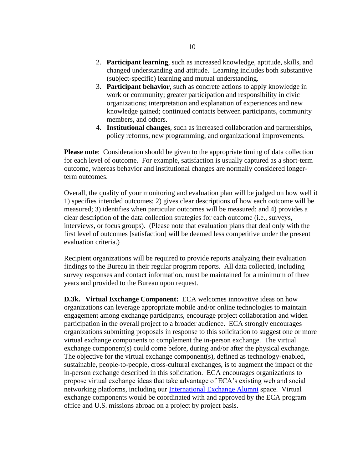- 2. **Participant learning**, such as increased knowledge, aptitude, skills, and changed understanding and attitude. Learning includes both substantive (subject-specific) learning and mutual understanding.
- 3. **Participant behavior**, such as concrete actions to apply knowledge in work or community; greater participation and responsibility in civic organizations; interpretation and explanation of experiences and new knowledge gained; continued contacts between participants, community members, and others.
- 4. **Institutional changes**, such as increased collaboration and partnerships, policy reforms, new programming, and organizational improvements.

**Please note**: Consideration should be given to the appropriate timing of data collection for each level of outcome. For example, satisfaction is usually captured as a short-term outcome, whereas behavior and institutional changes are normally considered longerterm outcomes.

Overall, the quality of your monitoring and evaluation plan will be judged on how well it 1) specifies intended outcomes; 2) gives clear descriptions of how each outcome will be measured; 3) identifies when particular outcomes will be measured; and 4) provides a clear description of the data collection strategies for each outcome (i.e., surveys, interviews, or focus groups). (Please note that evaluation plans that deal only with the first level of outcomes [satisfaction] will be deemed less competitive under the present evaluation criteria.)

Recipient organizations will be required to provide reports analyzing their evaluation findings to the Bureau in their regular program reports. All data collected, including survey responses and contact information, must be maintained for a minimum of three years and provided to the Bureau upon request.

**D.3k. Virtual Exchange Component:** ECA welcomes innovative ideas on how organizations can leverage appropriate mobile and/or online technologies to maintain engagement among exchange participants, encourage project collaboration and widen participation in the overall project to a broader audience. ECA strongly encourages organizations submitting proposals in response to this solicitation to suggest one or more virtual exchange components to complement the in-person exchange. The virtual exchange component(s) could come before, during and/or after the physical exchange. The objective for the virtual exchange component(s), defined as technology-enabled, sustainable, people-to-people, cross-cultural exchanges, is to augment the impact of the in-person exchange described in this solicitation. ECA encourages organizations to propose virtual exchange ideas that take advantage of ECA's existing web and social networking platforms, including our [International Exchange Alumni](https://alumni.state.gov/) space. Virtual exchange components would be coordinated with and approved by the ECA program office and U.S. missions abroad on a project by project basis.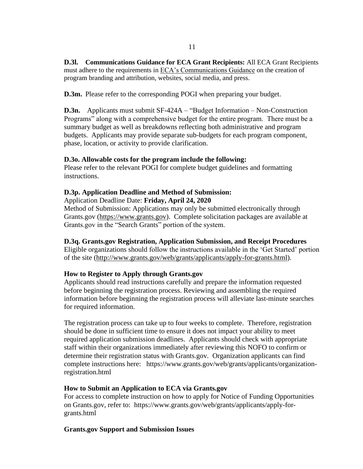**D.3l. Communications Guidance for ECA Grant Recipients:** All ECA Grant Recipients must adhere to the requirements in [ECA's Communications Guidance](https://eca.state.gov/comms-guidance) on the creation of program branding and attribution, websites, social media, and press.

**D.3m.** Please refer to the corresponding POGI when preparing your budget.

**D.3n.** Applicants must submit SF-424A – "Budget Information – Non-Construction Programs" along with a comprehensive budget for the entire program. There must be a summary budget as well as breakdowns reflecting both administrative and program budgets. Applicants may provide separate sub-budgets for each program component, phase, location, or activity to provide clarification.

### **D.3o. Allowable costs for the program include the following:**

Please refer to the relevant POGI for complete budget guidelines and formatting instructions.

# **D.3p. Application Deadline and Method of Submission:**

Application Deadline Date: **Friday, April 24, 2020**

Method of Submission: Applications may only be submitted electronically through Grants.gov [\(https://www.grants.gov\)](https://www.grants.gov/). Complete solicitation packages are available at Grants.gov in the "Search Grants" portion of the system.

# **D.3q. Grants.gov Registration, Application Submission, and Receipt Procedures**

Eligible organizations should follow the instructions available in the 'Get Started' portion of the site [\(http://www.grants.gov/web/grants/applicants/apply-for-grants.html\)](http://www.grants.gov/web/grants/applicants/apply-for-grants.html).

# **How to Register to Apply through Grants.gov**

Applicants should read instructions carefully and prepare the information requested before beginning the registration process. Reviewing and assembling the required information before beginning the registration process will alleviate last-minute searches for required information.

The registration process can take up to four weeks to complete. Therefore, registration should be done in sufficient time to ensure it does not impact your ability to meet required application submission deadlines. Applicants should check with appropriate staff within their organizations immediately after reviewing this NOFO to confirm or determine their registration status with Grants.gov. Organization applicants can find complete instructions here: [https://www.grants.gov/web/grants/applicants/organization](https://www.grants.gov/web/grants/applicants/organization-registration.html)[registration.html](https://www.grants.gov/web/grants/applicants/organization-registration.html)

### **How to Submit an Application to ECA via Grants.gov**

For access to complete instruction on how to apply for Notice of Funding Opportunities on Grants.gov, refer to: [https://www.grants.gov/web/grants/applicants/apply-for](https://www.grants.gov/web/grants/applicants/apply-for-grants.html)[grants.html](https://www.grants.gov/web/grants/applicants/apply-for-grants.html)

### **Grants.gov Support and Submission Issues**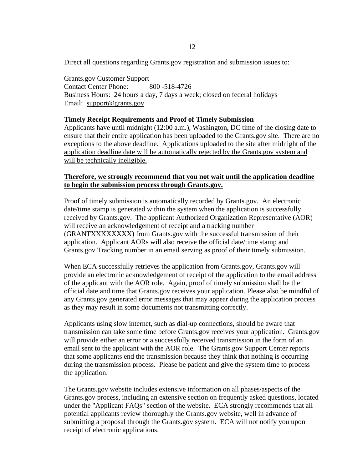Direct all questions regarding Grants.gov registration and submission issues to:

Grants.gov Customer Support Contact Center Phone: 800 -518-4726 Business Hours: 24 hours a day, 7 days a week; closed on federal holidays Email: [support@grants.gov](mailto:support@grants.gov)

#### **Timely Receipt Requirements and Proof of Timely Submission**

Applicants have until midnight (12:00 a.m.), Washington, DC time of the closing date to ensure that their entire application has been uploaded to the Grants.gov site. There are no exceptions to the above deadline. Applications uploaded to the site after midnight of the application deadline date will be automatically rejected by the Grants.gov system and will be technically ineligible.

### **Therefore, we strongly recommend that you not wait until the application deadline to begin the submission process through Grants.gov.**

Proof of timely submission is automatically recorded by Grants.gov. An electronic date/time stamp is generated within the system when the application is successfully received by Grants.gov. The applicant Authorized Organization Representative (AOR) will receive an acknowledgement of receipt and a tracking number (GRANTXXXXXXXX) from Grants.gov with the successful transmission of their application. Applicant AORs will also receive the official date/time stamp and Grants.gov Tracking number in an email serving as proof of their timely submission.

When ECA successfully retrieves the application from Grants.gov, Grants.gov will provide an electronic acknowledgement of receipt of the application to the email address of the applicant with the AOR role. Again, proof of timely submission shall be the official date and time that Grants.gov receives your application. Please also be mindful of any Grants.gov generated error messages that may appear during the application process as they may result in some documents not transmitting correctly.

Applicants using slow internet, such as dial-up connections, should be aware that transmission can take some time before Grants.gov receives your application. Grants.gov will provide either an error or a successfully received transmission in the form of an email sent to the applicant with the AOR role. The Grants.gov Support Center reports that some applicants end the transmission because they think that nothing is occurring during the transmission process. Please be patient and give the system time to process the application.

The Grants.gov website includes extensive information on all phases/aspects of the Grants.gov process, including an extensive section on frequently asked questions, located under the "Applicant FAQs" section of the website. ECA strongly recommends that all potential applicants review thoroughly the Grants.gov website, well in advance of submitting a proposal through the Grants.gov system. ECA will not notify you upon receipt of electronic applications.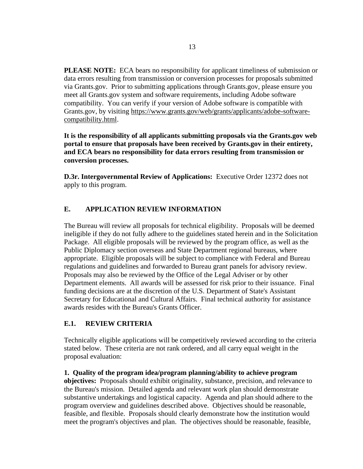**PLEASE NOTE:** ECA bears no responsibility for applicant timeliness of submission or data errors resulting from transmission or conversion processes for proposals submitted via Grants.gov. Prior to submitting applications through Grants.gov, please ensure you meet all Grants.gov system and software requirements, including Adobe software compatibility. You can verify if your version of Adobe software is compatible with Grants.gov, by visiting [https://www.grants.gov/web/grants/applicants/adobe-software](https://www.grants.gov/web/grants/applicants/adobe-software-compatibility.html)[compatibility.html.](https://www.grants.gov/web/grants/applicants/adobe-software-compatibility.html)

**It is the responsibility of all applicants submitting proposals via the Grants.gov web portal to ensure that proposals have been received by Grants.gov in their entirety, and ECA bears no responsibility for data errors resulting from transmission or conversion processes.**

**D.3r. Intergovernmental Review of Applications:** Executive Order 12372 does not apply to this program.

# **E. APPLICATION REVIEW INFORMATION**

The Bureau will review all proposals for technical eligibility. Proposals will be deemed ineligible if they do not fully adhere to the guidelines stated herein and in the Solicitation Package. All eligible proposals will be reviewed by the program office, as well as the Public Diplomacy section overseas and State Department regional bureaus, where appropriate. Eligible proposals will be subject to compliance with Federal and Bureau regulations and guidelines and forwarded to Bureau grant panels for advisory review. Proposals may also be reviewed by the Office of the Legal Adviser or by other Department elements. All awards will be assessed for risk prior to their issuance. Final funding decisions are at the discretion of the U.S. Department of State's Assistant Secretary for Educational and Cultural Affairs. Final technical authority for assistance awards resides with the Bureau's Grants Officer.

### **E.1. REVIEW CRITERIA**

Technically eligible applications will be competitively reviewed according to the criteria stated below. These criteria are not rank ordered, and all carry equal weight in the proposal evaluation:

**1. Quality of the program idea/program planning/ability to achieve program objectives:** Proposals should exhibit originality, substance, precision, and relevance to the Bureau's mission. Detailed agenda and relevant work plan should demonstrate substantive undertakings and logistical capacity. Agenda and plan should adhere to the program overview and guidelines described above. Objectives should be reasonable, feasible, and flexible. Proposals should clearly demonstrate how the institution would meet the program's objectives and plan. The objectives should be reasonable, feasible,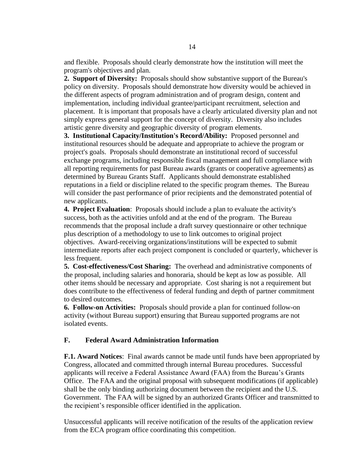and flexible. Proposals should clearly demonstrate how the institution will meet the program's objectives and plan.

**2. Support of Diversity:** Proposals should show substantive support of the Bureau's policy on diversity. Proposals should demonstrate how diversity would be achieved in the different aspects of program administration and of program design, content and implementation, including individual grantee/participant recruitment, selection and placement. It is important that proposals have a clearly articulated diversity plan and not simply express general support for the concept of diversity. Diversity also includes artistic genre diversity and geographic diversity of program elements.

**3. Institutional Capacity/Institution's Record/Ability:** Proposed personnel and institutional resources should be adequate and appropriate to achieve the program or project's goals. Proposals should demonstrate an institutional record of successful exchange programs, including responsible fiscal management and full compliance with all reporting requirements for past Bureau awards (grants or cooperative agreements) as determined by Bureau Grants Staff. Applicants should demonstrate established reputations in a field or discipline related to the specific program themes. The Bureau will consider the past performance of prior recipients and the demonstrated potential of new applicants.

**4. Project Evaluation**: Proposals should include a plan to evaluate the activity's success, both as the activities unfold and at the end of the program. The Bureau recommends that the proposal include a draft survey questionnaire or other technique plus description of a methodology to use to link outcomes to original project objectives. Award-receiving organizations/institutions will be expected to submit intermediate reports after each project component is concluded or quarterly, whichever is less frequent.

**5. Cost-effectiveness/Cost Sharing:** The overhead and administrative components of the proposal, including salaries and honoraria, should be kept as low as possible. All other items should be necessary and appropriate. Cost sharing is not a requirement but does contribute to the effectiveness of federal funding and depth of partner commitment to desired outcomes.

**6. Follow-on Activities:** Proposals should provide a plan for continued follow-on activity (without Bureau support) ensuring that Bureau supported programs are not isolated events.

### **F. Federal Award Administration Information**

**F.1. Award Notices**: Final awards cannot be made until funds have been appropriated by Congress, allocated and committed through internal Bureau procedures. Successful applicants will receive a Federal Assistance Award (FAA) from the Bureau's Grants Office. The FAA and the original proposal with subsequent modifications (if applicable) shall be the only binding authorizing document between the recipient and the U.S. Government. The FAA will be signed by an authorized Grants Officer and transmitted to the recipient's responsible officer identified in the application.

Unsuccessful applicants will receive notification of the results of the application review from the ECA program office coordinating this competition.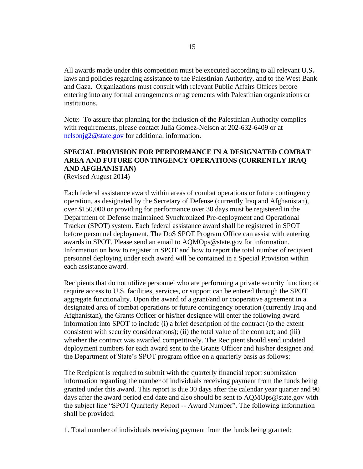All awards made under this competition must be executed according to all relevant U.S**.**  laws and policies regarding assistance to the Palestinian Authority, and to the West Bank and Gaza. Organizations must consult with relevant Public Affairs Offices before entering into any formal arrangements or agreements with Palestinian organizations or institutions.

Note: To assure that planning for the inclusion of the Palestinian Authority complies with requirements, please contact Julia Gómez-Nelson at 202-632-6409 or at [nelsonjg2@state.gov](mailto:nelsonjg2@state.gov) for additional information.

# **SPECIAL PROVISION FOR PERFORMANCE IN A DESIGNATED COMBAT AREA AND FUTURE CONTINGENCY OPERATIONS (CURRENTLY IRAQ AND AFGHANISTAN)**

(Revised August 2014)

Each federal assistance award within areas of combat operations or future contingency operation, as designated by the Secretary of Defense (currently Iraq and Afghanistan), over \$150,000 or providing for performance over 30 days must be registered in the Department of Defense maintained Synchronized Pre-deployment and Operational Tracker (SPOT) system. Each federal assistance award shall be registered in SPOT before personnel deployment. The DoS SPOT Program Office can assist with entering awards in SPOT. Please send an email to AQMOps@state.gov for information. Information on how to register in SPOT and how to report the total number of recipient personnel deploying under each award will be contained in a Special Provision within each assistance award.

Recipients that do not utilize personnel who are performing a private security function; or require access to U.S. facilities, services, or support can be entered through the SPOT aggregate functionality. Upon the award of a grant/and or cooperative agreement in a designated area of combat operations or future contingency operation (currently Iraq and Afghanistan), the Grants Officer or his/her designee will enter the following award information into SPOT to include (i) a brief description of the contract (to the extent consistent with security considerations); (ii) the total value of the contract; and (iii) whether the contract was awarded competitively. The Recipient should send updated deployment numbers for each award sent to the Grants Officer and his/her designee and the Department of State's SPOT program office on a quarterly basis as follows:

The Recipient is required to submit with the quarterly financial report submission information regarding the number of individuals receiving payment from the funds being granted under this award. This report is due 30 days after the calendar year quarter and 90 days after the award period end date and also should be sent to AQMOps@state.gov with the subject line "SPOT Quarterly Report -- Award Number". The following information shall be provided:

1. Total number of individuals receiving payment from the funds being granted: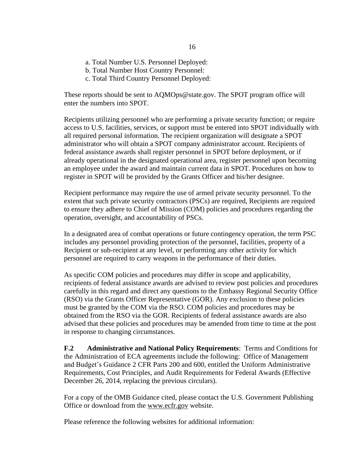- a. Total Number U.S. Personnel Deployed:
- b. Total Number Host Country Personnel:
- c. Total Third Country Personnel Deployed:

These reports should be sent to AQMOps@state.gov. The SPOT program office will enter the numbers into SPOT.

Recipients utilizing personnel who are performing a private security function; or require access to U.S. facilities, services, or support must be entered into SPOT individually with all required personal information. The recipient organization will designate a SPOT administrator who will obtain a SPOT company administrator account. Recipients of federal assistance awards shall register personnel in SPOT before deployment, or if already operational in the designated operational area, register personnel upon becoming an employee under the award and maintain current data in SPOT. Procedures on how to register in SPOT will be provided by the Grants Officer and his/her designee.

Recipient performance may require the use of armed private security personnel. To the extent that such private security contractors (PSCs) are required, Recipients are required to ensure they adhere to Chief of Mission (COM) policies and procedures regarding the operation, oversight, and accountability of PSCs.

In a designated area of combat operations or future contingency operation, the term PSC includes any personnel providing protection of the personnel, facilities, property of a Recipient or sub-recipient at any level, or performing any other activity for which personnel are required to carry weapons in the performance of their duties.

As specific COM policies and procedures may differ in scope and applicability, recipients of federal assistance awards are advised to review post policies and procedures carefully in this regard and direct any questions to the Embassy Regional Security Office (RSO) via the Grants Officer Representative (GOR). Any exclusion to these policies must be granted by the COM via the RSO. COM policies and procedures may be obtained from the RSO via the GOR. Recipients of federal assistance awards are also advised that these policies and procedures may be amended from time to time at the post in response to changing circumstances.

**F.2 Administrative and National Policy Requirements**: Terms and Conditions for the Administration of ECA agreements include the following: Office of Management and Budget's Guidance 2 CFR Parts 200 and 600, entitled the Uniform Administrative Requirements, Cost Principles, and Audit Requirements for Federal Awards (Effective December 26, 2014, replacing the previous circulars).

For a copy of the OMB Guidance cited, please contact the U.S. Government Publishing Office or download from the [www.ecfr.gov](http://www.ecfr.gov/) website.

Please reference the following websites for additional information: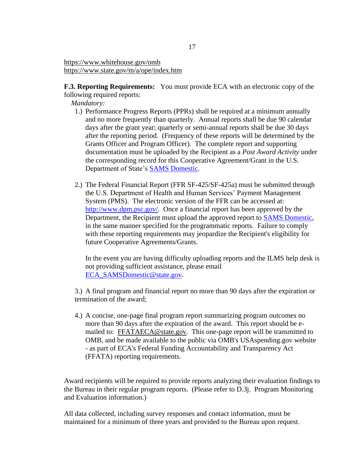<https://www.whitehouse.gov/omb> <https://www.state.gov/m/a/ope/index.htm>

**F.3. Reporting Requirements:** You must provide ECA with an electronic copy of the following required reports:

*Mandatory:*

- 1.) Performance Progress Reports (PPRs) shall be required at a minimum annually and no more frequently than quarterly. Annual reports shall be due 90 calendar days after the grant year; quarterly or semi-annual reports shall be due 30 days after the reporting period. (Frequency of these reports will be determined by the Grants Officer and Program Officer). The complete report and supporting documentation must be uploaded by the Recipient as a *Post Award Activity* under the corresponding record for this Cooperative Agreement/Grant in the U.S. Department of State's [SAMS Domestic.](https://mygrants.service-now.com/)
- 2.) The Federal Financial Report (FFR SF-425/SF-425a) must be submitted through the U.S. Department of Health and Human Services' Payment Management System (PMS). The electronic version of the FFR can be accessed at: [http://www.dpm.psc.gov/.](http://www.dpm.psc.gov/) Once a financial report has been approved by the Department, the Recipient must upload the approved report to [SAMS Domestic,](https://mygrants.service-now.com/) in the same manner specified for the programmatic reports. Failure to comply with these reporting requirements may jeopardize the Recipient's eligibility for future Cooperative Agreements/Grants.

In the event you are having difficulty uploading reports and the ILMS help desk is not providing sufficient assistance, please email [ECA\\_SAMSDomestic@state.gov.](mailto:ECA_SAMSDomestic@state.gov)

3.) A final program and financial report no more than 90 days after the expiration or termination of the award;

4.) A concise, one-page final program report summarizing program outcomes no more than 90 days after the expiration of the award. This report should be e-mailed to: [FFATAECA@state.gov.](mailto:FFATAECA@state.gov) This one-page report will be transmitted to OMB, and be made available to the public via OMB's USAspending.gov website - as part of ECA's Federal Funding Accountability and Transparency Act (FFATA) reporting requirements.

Award recipients will be required to provide reports analyzing their evaluation findings to the Bureau in their regular program reports. (Please refer to D.3j. Program Monitoring and Evaluation information.)

All data collected, including survey responses and contact information, must be maintained for a minimum of three years and provided to the Bureau upon request.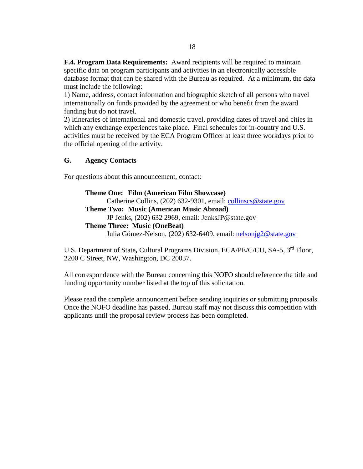**F.4. Program Data Requirements:** Award recipients will be required to maintain specific data on program participants and activities in an electronically accessible database format that can be shared with the Bureau as required. At a minimum, the data must include the following:

1) Name, address, contact information and biographic sketch of all persons who travel internationally on funds provided by the agreement or who benefit from the award funding but do not travel.

2) Itineraries of international and domestic travel, providing dates of travel and cities in which any exchange experiences take place. Final schedules for in-country and U.S. activities must be received by the ECA Program Officer at least three workdays prior to the official opening of the activity.

### **G. Agency Contacts**

For questions about this announcement, contact:

# **Theme One: Film (American Film Showcase)** Catherine Collins, (202) 632-9301, email:<collinscs@state.gov> **Theme Two: Music (American Music Abroad)** JP Jenks, (202) 632 2969, email: [JenksJP@state.gov](mailto:JenksJP@state.gov) **Theme Three: Music (OneBeat)** Julia Gómez-Nelson, (202) 632-6409, email: [nelsonjg2@state.gov](mailto:nelsonjg2@state.gov)

U.S. Department of State*,* Cultural Programs Division, ECA/PE/C/CU, SA-5, 3rd Floor, 2200 C Street, NW, Washington, DC 20037.

All correspondence with the Bureau concerning this NOFO should reference the title and funding opportunity number listed at the top of this solicitation.

Please read the complete announcement before sending inquiries or submitting proposals. Once the NOFO deadline has passed, Bureau staff may not discuss this competition with applicants until the proposal review process has been completed.